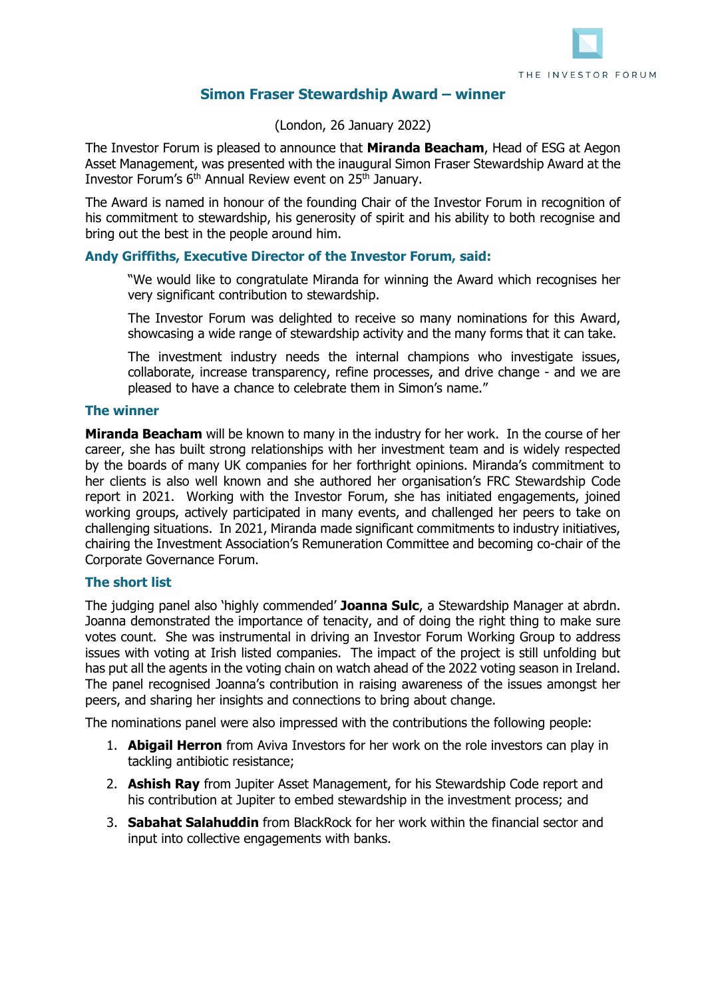

# **Simon Fraser Stewardship Award – winner**

(London, 26 January 2022)

The Investor Forum is pleased to announce that **Miranda Beacham**, Head of ESG at Aegon Asset Management, was presented with the inaugural Simon Fraser Stewardship Award at the Investor Forum's 6th Annual Review event on 25th January.

The Award is named in honour of the founding Chair of the Investor Forum in recognition of his commitment to stewardship, his generosity of spirit and his ability to both recognise and bring out the best in the people around him.

### **Andy Griffiths, Executive Director of the Investor Forum, said:**

"We would like to congratulate Miranda for winning the Award which recognises her very significant contribution to stewardship.

The Investor Forum was delighted to receive so many nominations for this Award, showcasing a wide range of stewardship activity and the many forms that it can take.

The investment industry needs the internal champions who investigate issues, collaborate, increase transparency, refine processes, and drive change - and we are pleased to have a chance to celebrate them in Simon's name."

#### **The winner**

**Miranda Beacham** will be known to many in the industry for her work. In the course of her career, she has built strong relationships with her investment team and is widely respected by the boards of many UK companies for her forthright opinions. Miranda's commitment to her clients is also well known and she authored her organisation's FRC Stewardship Code report in 2021. Working with the Investor Forum, she has initiated engagements, joined working groups, actively participated in many events, and challenged her peers to take on challenging situations. In 2021, Miranda made significant commitments to industry initiatives, chairing the Investment Association's Remuneration Committee and becoming co-chair of the Corporate Governance Forum.

#### **The short list**

The judging panel also 'highly commended' **Joanna Sulc**, a Stewardship Manager at abrdn. Joanna demonstrated the importance of tenacity, and of doing the right thing to make sure votes count. She was instrumental in driving an Investor Forum Working Group to address issues with voting at Irish listed companies. The impact of the project is still unfolding but has put all the agents in the voting chain on watch ahead of the 2022 voting season in Ireland. The panel recognised Joanna's contribution in raising awareness of the issues amongst her peers, and sharing her insights and connections to bring about change.

The nominations panel were also impressed with the contributions the following people:

- 1. **Abigail Herron** from Aviva Investors for her work on the role investors can play in tackling antibiotic resistance;
- 2. **Ashish Ray** from Jupiter Asset Management, for his Stewardship Code report and his contribution at Jupiter to embed stewardship in the investment process; and
- 3. **Sabahat Salahuddin** from BlackRock for her work within the financial sector and input into collective engagements with banks.